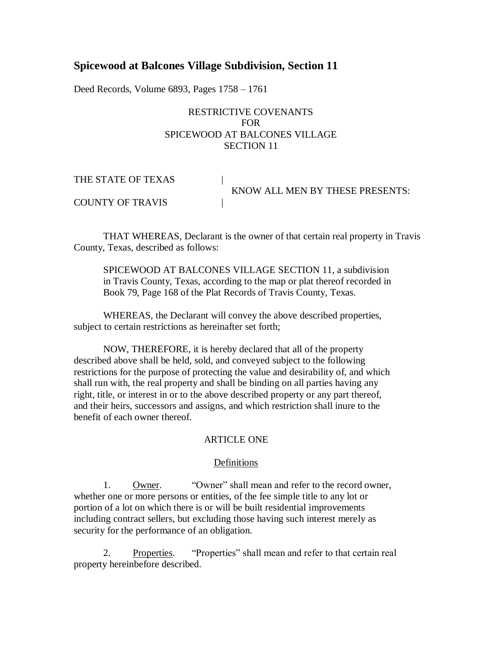# **Spicewood at Balcones Village Subdivision, Section 11**

Deed Records, Volume 6893, Pages 1758 – 1761

### RESTRICTIVE COVENANTS FOR SPICEWOOD AT BALCONES VILLAGE SECTION 11

| THE STATE OF TEXAS      |                                 |
|-------------------------|---------------------------------|
|                         | KNOW ALL MEN BY THESE PRESENTS: |
| <b>COUNTY OF TRAVIS</b> |                                 |

THAT WHEREAS, Declarant is the owner of that certain real property in Travis County, Texas, described as follows:

SPICEWOOD AT BALCONES VILLAGE SECTION 11, a subdivision in Travis County, Texas, according to the map or plat thereof recorded in Book 79, Page 168 of the Plat Records of Travis County, Texas.

WHEREAS, the Declarant will convey the above described properties, subject to certain restrictions as hereinafter set forth;

NOW, THEREFORE, it is hereby declared that all of the property described above shall be held, sold, and conveyed subject to the following restrictions for the purpose of protecting the value and desirability of, and which shall run with, the real property and shall be binding on all parties having any right, title, or interest in or to the above described property or any part thereof, and their heirs, successors and assigns, and which restriction shall inure to the benefit of each owner thereof.

### ARTICLE ONE

### Definitions

1. Owner. "Owner" shall mean and refer to the record owner, whether one or more persons or entities, of the fee simple title to any lot or portion of a lot on which there is or will be built residential improvements including contract sellers, but excluding those having such interest merely as security for the performance of an obligation.

2. Properties. "Properties" shall mean and refer to that certain real property hereinbefore described.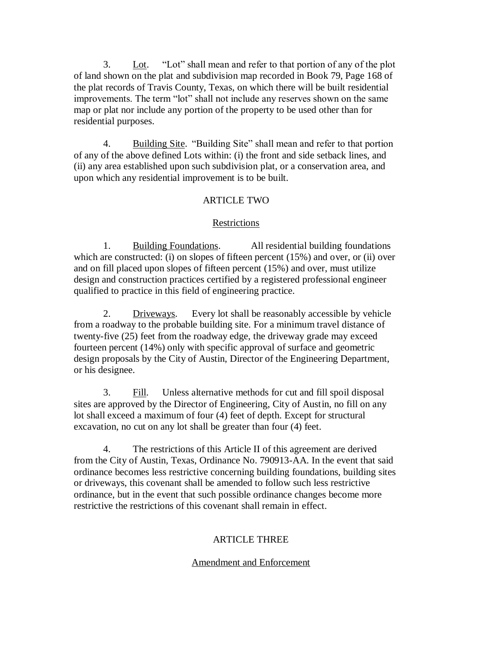3. Lot. "Lot" shall mean and refer to that portion of any of the plot of land shown on the plat and subdivision map recorded in Book 79, Page 168 of the plat records of Travis County, Texas, on which there will be built residential improvements. The term "lot" shall not include any reserves shown on the same map or plat nor include any portion of the property to be used other than for residential purposes.

4. Building Site. "Building Site" shall mean and refer to that portion of any of the above defined Lots within: (i) the front and side setback lines, and (ii) any area established upon such subdivision plat, or a conservation area, and upon which any residential improvement is to be built.

### ARTICLE TWO

#### **Restrictions**

1. Building Foundations. All residential building foundations which are constructed: (i) on slopes of fifteen percent (15%) and over, or (ii) over and on fill placed upon slopes of fifteen percent (15%) and over, must utilize design and construction practices certified by a registered professional engineer qualified to practice in this field of engineering practice.

2. Driveways. Every lot shall be reasonably accessible by vehicle from a roadway to the probable building site. For a minimum travel distance of twenty-five (25) feet from the roadway edge, the driveway grade may exceed fourteen percent (14%) only with specific approval of surface and geometric design proposals by the City of Austin, Director of the Engineering Department, or his designee.

3. Fill. Unless alternative methods for cut and fill spoil disposal sites are approved by the Director of Engineering, City of Austin, no fill on any lot shall exceed a maximum of four (4) feet of depth. Except for structural excavation, no cut on any lot shall be greater than four (4) feet.

4. The restrictions of this Article II of this agreement are derived from the City of Austin, Texas, Ordinance No. 790913-AA. In the event that said ordinance becomes less restrictive concerning building foundations, building sites or driveways, this covenant shall be amended to follow such less restrictive ordinance, but in the event that such possible ordinance changes become more restrictive the restrictions of this covenant shall remain in effect.

#### ARTICLE THREE

#### Amendment and Enforcement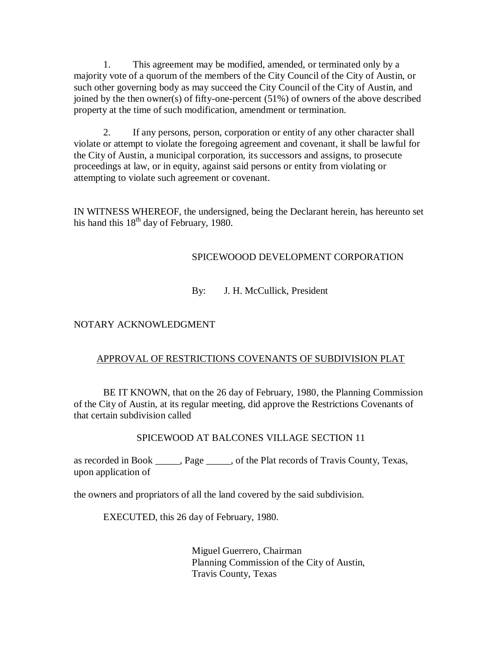1. This agreement may be modified, amended, or terminated only by a majority vote of a quorum of the members of the City Council of the City of Austin, or such other governing body as may succeed the City Council of the City of Austin, and joined by the then owner(s) of fifty-one-percent (51%) of owners of the above described property at the time of such modification, amendment or termination.

2. If any persons, person, corporation or entity of any other character shall violate or attempt to violate the foregoing agreement and covenant, it shall be lawful for the City of Austin, a municipal corporation, its successors and assigns, to prosecute proceedings at law, or in equity, against said persons or entity from violating or attempting to violate such agreement or covenant.

IN WITNESS WHEREOF, the undersigned, being the Declarant herein, has hereunto set his hand this  $18<sup>th</sup>$  day of February, 1980.

# SPICEWOOOD DEVELOPMENT CORPORATION

## By: J. H. McCullick, President

## NOTARY ACKNOWLEDGMENT

## APPROVAL OF RESTRICTIONS COVENANTS OF SUBDIVISION PLAT

BE IT KNOWN, that on the 26 day of February, 1980, the Planning Commission of the City of Austin, at its regular meeting, did approve the Restrictions Covenants of that certain subdivision called

## SPICEWOOD AT BALCONES VILLAGE SECTION 11

as recorded in Book \_\_\_\_\_, Page \_\_\_\_\_, of the Plat records of Travis County, Texas, upon application of

the owners and propriators of all the land covered by the said subdivision.

EXECUTED, this 26 day of February, 1980.

Miguel Guerrero, Chairman Planning Commission of the City of Austin, Travis County, Texas